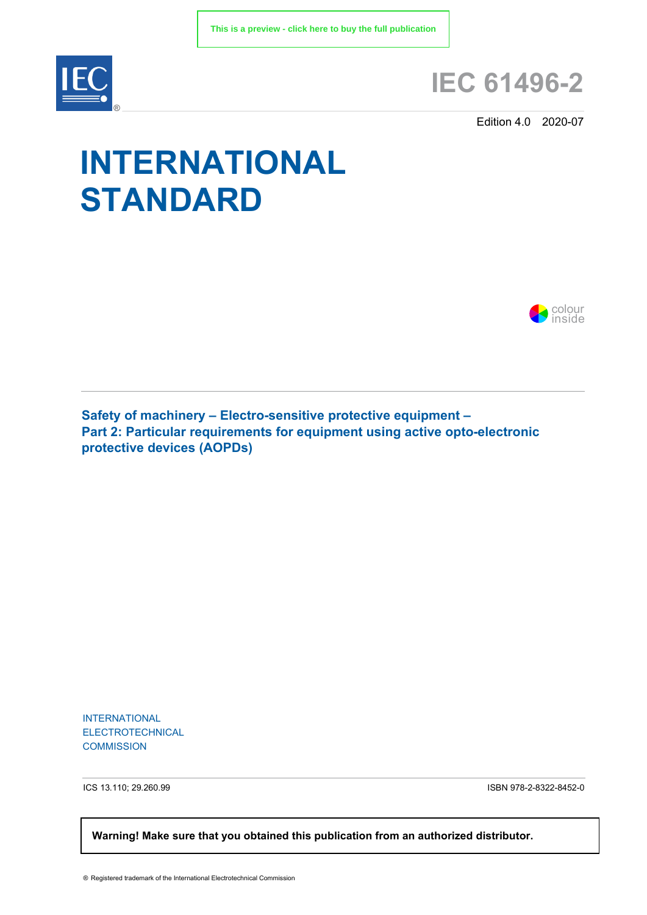

# **IEC 61496-2**

Edition 4.0 2020-07

# **INTERNATIONAL STANDARD**



**Safety of machinery – Electro-sensitive protective equipment – Part 2: Particular requirements for equipment using active opto-electronic protective devices (AOPDs)** 

INTERNATIONAL ELECTROTECHNICAL **COMMISSION** 

ICS 13.110; 29.260.99 ISBN 978-2-8322-8452-0

 **Warning! Make sure that you obtained this publication from an authorized distributor.**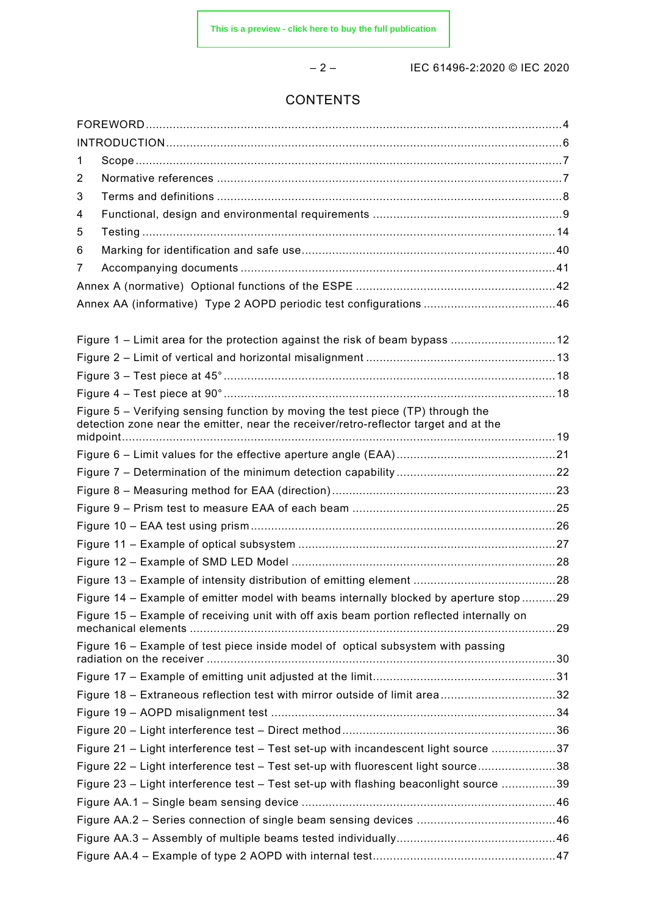– 2 – IEC 61496-2:2020 © IEC 2020

# CONTENTS

| 1 |                                                                                                                                                                         |  |  |
|---|-------------------------------------------------------------------------------------------------------------------------------------------------------------------------|--|--|
| 2 |                                                                                                                                                                         |  |  |
| 3 |                                                                                                                                                                         |  |  |
| 4 |                                                                                                                                                                         |  |  |
| 5 |                                                                                                                                                                         |  |  |
| 6 |                                                                                                                                                                         |  |  |
| 7 |                                                                                                                                                                         |  |  |
|   |                                                                                                                                                                         |  |  |
|   |                                                                                                                                                                         |  |  |
|   | Figure 1 – Limit area for the protection against the risk of beam bypass  12                                                                                            |  |  |
|   |                                                                                                                                                                         |  |  |
|   |                                                                                                                                                                         |  |  |
|   |                                                                                                                                                                         |  |  |
|   | Figure 5 – Verifying sensing function by moving the test piece (TP) through the<br>detection zone near the emitter, near the receiver/retro-reflector target and at the |  |  |
|   |                                                                                                                                                                         |  |  |
|   |                                                                                                                                                                         |  |  |
|   |                                                                                                                                                                         |  |  |
|   |                                                                                                                                                                         |  |  |
|   |                                                                                                                                                                         |  |  |
|   |                                                                                                                                                                         |  |  |
|   |                                                                                                                                                                         |  |  |
|   |                                                                                                                                                                         |  |  |
|   | Figure 14 – Example of emitter model with beams internally blocked by aperture stop29                                                                                   |  |  |
|   | Figure 15 – Example of receiving unit with off axis beam portion reflected internally on                                                                                |  |  |
|   | Figure 16 – Example of test piece inside model of optical subsystem with passing                                                                                        |  |  |
|   |                                                                                                                                                                         |  |  |
|   | Figure 18 – Extraneous reflection test with mirror outside of limit area32                                                                                              |  |  |
|   |                                                                                                                                                                         |  |  |
|   |                                                                                                                                                                         |  |  |
|   | Figure 21 - Light interference test - Test set-up with incandescent light source 37                                                                                     |  |  |
|   | Figure 22 - Light interference test - Test set-up with fluorescent light source38                                                                                       |  |  |
|   | Figure 23 - Light interference test - Test set-up with flashing beaconlight source 39                                                                                   |  |  |
|   |                                                                                                                                                                         |  |  |
|   |                                                                                                                                                                         |  |  |
|   |                                                                                                                                                                         |  |  |
|   |                                                                                                                                                                         |  |  |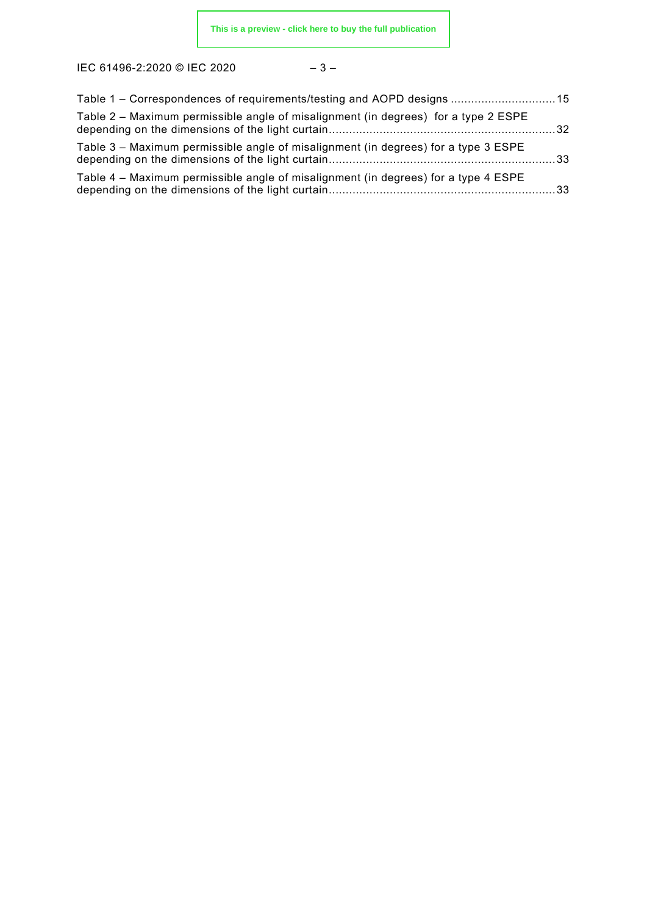IEC 61496-2:2020 © IEC 2020 – 3 –

| Table 1 – Correspondences of requirements/testing and AOPD designs 15              |  |
|------------------------------------------------------------------------------------|--|
| Table 2 – Maximum permissible angle of misalignment (in degrees) for a type 2 ESPE |  |
| Table 3 – Maximum permissible angle of misalignment (in degrees) for a type 3 ESPE |  |
| Table 4 – Maximum permissible angle of misalignment (in degrees) for a type 4 ESPE |  |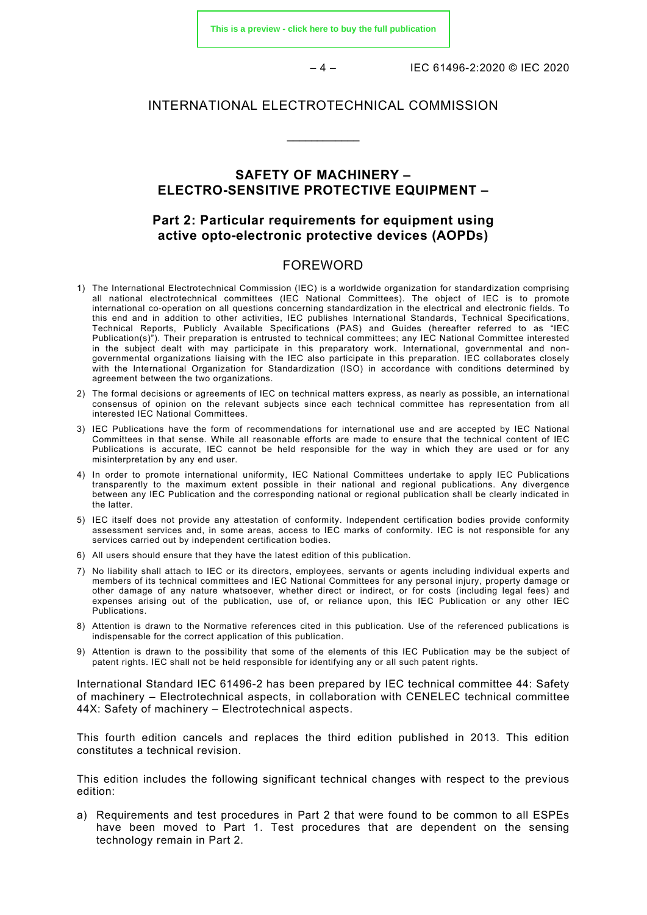**[This is a preview - click here to buy the full publication](https://webstore.iec.ch/publication/63117&preview)**

– 4 – IEC 61496-2:2020 © IEC 2020

#### INTERNATIONAL ELECTROTECHNICAL COMMISSION

\_\_\_\_\_\_\_\_\_\_\_\_

#### **SAFETY OF MACHINERY – ELECTRO-SENSITIVE PROTECTIVE EQUIPMENT –**

#### **Part 2: Particular requirements for equipment using active opto-electronic protective devices (AOPDs)**

#### FOREWORD

- <span id="page-3-0"></span>1) The International Electrotechnical Commission (IEC) is a worldwide organization for standardization comprising all national electrotechnical committees (IEC National Committees). The object of IEC is to promote international co-operation on all questions concerning standardization in the electrical and electronic fields. To this end and in addition to other activities, IEC publishes International Standards, Technical Specifications, Technical Reports, Publicly Available Specifications (PAS) and Guides (hereafter referred to as "IEC Publication(s)"). Their preparation is entrusted to technical committees; any IEC National Committee interested in the subject dealt with may participate in this preparatory work. International, governmental and nongovernmental organizations liaising with the IEC also participate in this preparation. IEC collaborates closely with the International Organization for Standardization (ISO) in accordance with conditions determined by agreement between the two organizations.
- 2) The formal decisions or agreements of IEC on technical matters express, as nearly as possible, an international consensus of opinion on the relevant subjects since each technical committee has representation from all interested IEC National Committees.
- 3) IEC Publications have the form of recommendations for international use and are accepted by IEC National Committees in that sense. While all reasonable efforts are made to ensure that the technical content of IEC Publications is accurate, IEC cannot be held responsible for the way in which they are used or for any misinterpretation by any end user.
- 4) In order to promote international uniformity, IEC National Committees undertake to apply IEC Publications transparently to the maximum extent possible in their national and regional publications. Any divergence between any IEC Publication and the corresponding national or regional publication shall be clearly indicated in the latter.
- 5) IEC itself does not provide any attestation of conformity. Independent certification bodies provide conformity assessment services and, in some areas, access to IEC marks of conformity. IEC is not responsible for any services carried out by independent certification bodies.
- 6) All users should ensure that they have the latest edition of this publication.
- 7) No liability shall attach to IEC or its directors, employees, servants or agents including individual experts and members of its technical committees and IEC National Committees for any personal injury, property damage or other damage of any nature whatsoever, whether direct or indirect, or for costs (including legal fees) and expenses arising out of the publication, use of, or reliance upon, this IEC Publication or any other IEC Publications.
- 8) Attention is drawn to the Normative references cited in this publication. Use of the referenced publications is indispensable for the correct application of this publication.
- 9) Attention is drawn to the possibility that some of the elements of this IEC Publication may be the subject of patent rights. IEC shall not be held responsible for identifying any or all such patent rights.

International Standard IEC 61496-2 has been prepared by IEC technical committee 44: Safety of machinery – Electrotechnical aspects, in collaboration with CENELEC technical committee 44X: Safety of machinery – Electrotechnical aspects.

This fourth edition cancels and replaces the third edition published in 2013. This edition constitutes a technical revision.

This edition includes the following significant technical changes with respect to the previous edition:

a) Requirements and test procedures in Part 2 that were found to be common to all ESPEs have been moved to Part 1. Test procedures that are dependent on the sensing technology remain in Part 2.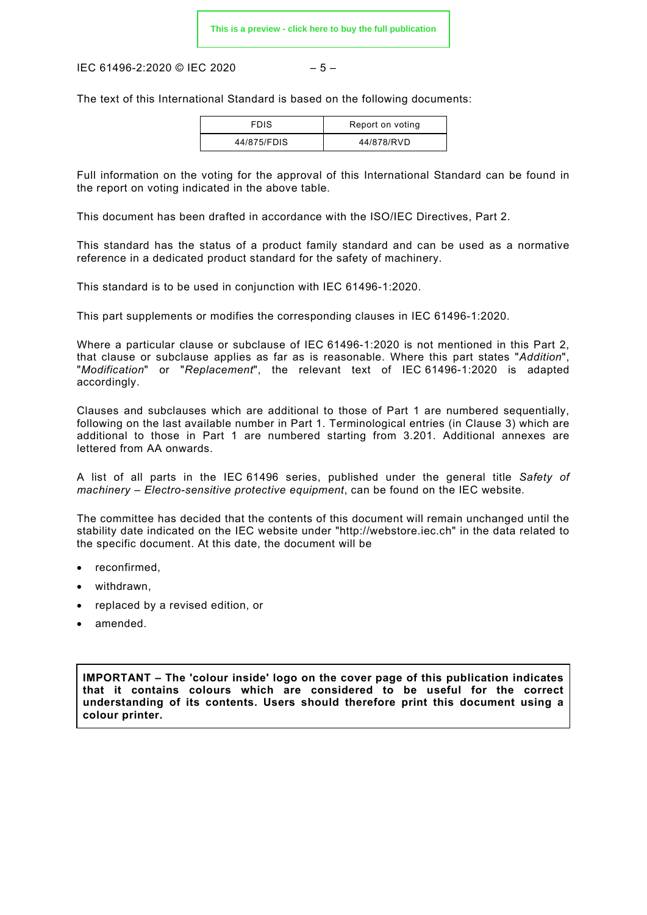IEC 61496-2:2020 © IEC 2020  $-5-$ 

The text of this International Standard is based on the following documents:

| <b>FDIS</b> | Report on voting |
|-------------|------------------|
| 44/875/FDIS | 44/878/RVD       |

Full information on the voting for the approval of this International Standard can be found in the report on voting indicated in the above table.

This document has been drafted in accordance with the ISO/IEC Directives, Part 2.

This standard has the status of a product family standard and can be used as a normative reference in a dedicated product standard for the safety of machinery.

This standard is to be used in conjunction with IEC 61496-1:2020.

This part supplements or modifies the corresponding clauses in IEC 61496-1:2020.

Where a particular clause or subclause of IEC 61496-1:2020 is not mentioned in this Part 2, that clause or subclause applies as far as is reasonable. Where this part states "*Addition*", "*Modification*" or "*Replacement*", the relevant text of IEC 61496-1:2020 is adapted accordingly.

Clauses and subclauses which are additional to those of Part 1 are numbered sequentially, following on the last available number in Part 1. Terminological entries (in Clause 3) which are additional to those in Part 1 are numbered starting from 3.201. Additional annexes are lettered from AA onwards.

A list of all parts in the IEC 61496 series, published under the general title *Safety of machinery – Electro-sensitive protective equipment*, can be found on the IEC website.

The committee has decided that the contents of this document will remain unchanged until the stability date indicated on the IEC website under "http://webstore.iec.ch" in the data related to the specific document. At this date, the document will be

- reconfirmed.
- withdrawn,
- replaced by a revised edition, or
- amended.

**IMPORTANT – The 'colour inside' logo on the cover page of this publication indicates that it contains colours which are considered to be useful for the correct understanding of its contents. Users should therefore print this document using a colour printer.**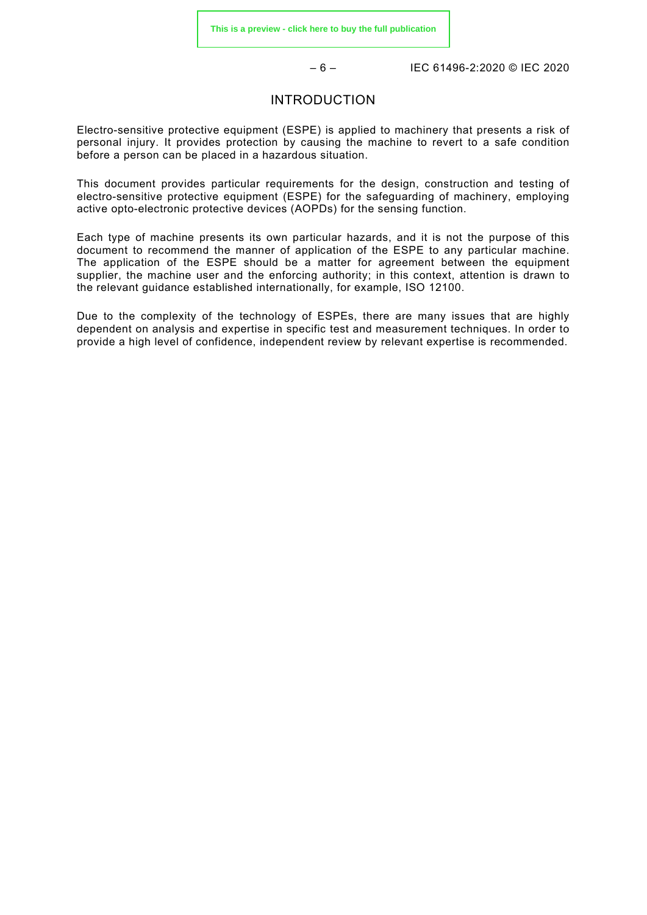– 6 – IEC 61496-2:2020 © IEC 2020

#### INTRODUCTION

<span id="page-5-0"></span>Electro-sensitive protective equipment (ESPE) is applied to machinery that presents a risk of personal injury. It provides protection by causing the machine to revert to a safe condition before a person can be placed in a hazardous situation.

This document provides particular requirements for the design, construction and testing of electro-sensitive protective equipment (ESPE) for the safeguarding of machinery, employing active opto-electronic protective devices (AOPDs) for the sensing function.

Each type of machine presents its own particular hazards, and it is not the purpose of this document to recommend the manner of application of the ESPE to any particular machine. The application of the ESPE should be a matter for agreement between the equipment supplier, the machine user and the enforcing authority; in this context, attention is drawn to the relevant guidance established internationally, for example, ISO 12100.

Due to the complexity of the technology of ESPEs, there are many issues that are highly dependent on analysis and expertise in specific test and measurement techniques. In order to provide a high level of confidence, independent review by relevant expertise is recommended.